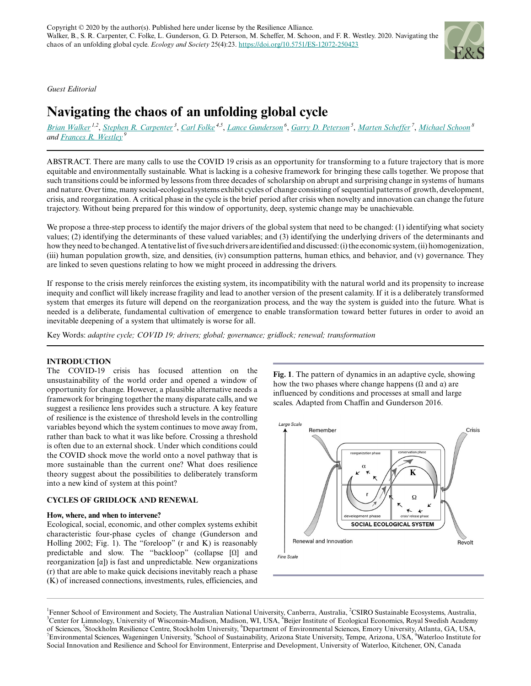*Guest Editorial*

# **Navigating the chaos of an unfolding global cycle**

[Brian Walker](mailto:brian.walker@csiro.au)<sup>1,2</sup>, [Stephen R. Carpenter](mailto:srcarpen@wisc.edu)<sup>3</sup>, [Carl Folke](mailto:carl.folke@beijer.kva.se)<sup>4,5</sup>, [Lance Gunderson](mailto:lgunder@emory.edu)<sup>6</sup>, [Garry D. Peterson](mailto:garry.peterson@su.se)<sup>5</sup>, [Marten Scheffer](mailto:Marten.Scheffer@wur.nl)<sup>7</sup>, [Michael Schoon](mailto:michael.schoon@asu.edu)<sup>8</sup> *and [Frances R. Westley](mailto:fwestley@uwaterloo.ca)<sup>9</sup>*

ABSTRACT. There are many calls to use the COVID 19 crisis as an opportunity for transforming to a future trajectory that is more equitable and environmentally sustainable. What is lacking is a cohesive framework for bringing these calls together. We propose that such transitions could be informed by lessons from three decades of scholarship on abrupt and surprising change in systems of humans and nature. Over time, many social-ecological systems exhibit cycles of change consisting of sequential patterns of growth, development, crisis, and reorganization. A critical phase in the cycle is the brief period after crisis when novelty and innovation can change the future trajectory. Without being prepared for this window of opportunity, deep, systemic change may be unachievable.

We propose a three-step process to identify the major drivers of the global system that need to be changed: (1) identifying what society values; (2) identifying the determinants of these valued variables; and (3) identifying the underlying drivers of the determinants and how they need to be changed. A tentative list of five such drivers are identified and discussed: (i) the economic system, (ii) homogenization, (iii) human population growth, size, and densities, (iv) consumption patterns, human ethics, and behavior, and (v) governance. They are linked to seven questions relating to how we might proceed in addressing the drivers.

If response to the crisis merely reinforces the existing system, its incompatibility with the natural world and its propensity to increase inequity and conflict will likely increase fragility and lead to another version of the present calamity. If it is a deliberately transformed system that emerges its future will depend on the reorganization process, and the way the system is guided into the future. What is needed is a deliberate, fundamental cultivation of emergence to enable transformation toward better futures in order to avoid an inevitable deepening of a system that ultimately is worse for all.

Key Words: *adaptive cycle; COVID 19; drivers; global; governance; gridlock; renewal; transformation*

# **INTRODUCTION**

The COVID-19 crisis has focused attention on the unsustainability of the world order and opened a window of opportunity for change. However, a plausible alternative needs a framework for bringing together the many disparate calls, and we suggest a resilience lens provides such a structure. A key feature of resilience is the existence of threshold levels in the controlling variables beyond which the system continues to move away from, rather than back to what it was like before. Crossing a threshold is often due to an external shock. Under which conditions could the COVID shock move the world onto a novel pathway that is more sustainable than the current one? What does resilience theory suggest about the possibilities to deliberately transform into a new kind of system at this point?

# **CYCLES OF GRIDLOCK AND RENEWAL**

#### **How, where, and when to intervene?**

Ecological, social, economic, and other complex systems exhibit characteristic four-phase cycles of change (Gunderson and Holling 2002; Fig. 1). The "foreloop" (r and K) is reasonably predictable and slow. The "backloop" (collapse [Ω] and reorganization [α]) is fast and unpredictable. New organizations (r) that are able to make quick decisions inevitably reach a phase (K) of increased connections, investments, rules, efficiencies, and **Fig. 1**. The pattern of dynamics in an adaptive cycle, showing how the two phases where change happens ( $Ω$  and  $α$ ) are influenced by conditions and processes at small and large scales. Adapted from Chaffin and Gunderson 2016.



<sup>&</sup>lt;sup>1</sup>Fenner School of Environment and Society, The Australian National University, Canberra, Australia, <sup>2</sup>CSIRO Sustainable Ecosystems, Australia, <sup>3</sup>Center for Limnology, University of Wisconsin-Madison, Madison, WI, USA, <sup>4</sup>Beijer Institute of Ecological Economics, Royal Swedish Academy of Sciences, <sup>5</sup>Stockholm Resilience Centre, Stockholm University, <sup>6</sup>Department of Environmental Sciences, Emory University, Atlanta, GA, USA, <sup>7</sup>Environmental Sciences, Wageningen University, 8School of Sustainability, Arizona State University, Tempe, Arizona, USA, <sup>9</sup>Waterloo Institute for Social Innovation and Resilience and School for Environment, Enterprise and Development, University of Waterloo, Kitchener, ON, Canada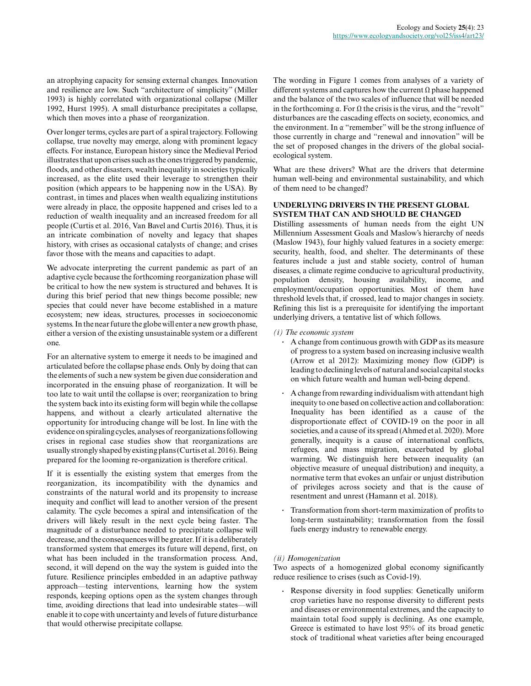an atrophying capacity for sensing external changes. Innovation and resilience are low. Such "architecture of simplicity" (Miller 1993) is highly correlated with organizational collapse (Miller 1992, Hurst 1995). A small disturbance precipitates a collapse, which then moves into a phase of reorganization.

Over longer terms, cycles are part of a spiral trajectory. Following collapse, true novelty may emerge, along with prominent legacy effects. For instance, European history since the Medieval Period illustrates that upon crises such as the ones triggered by pandemic, floods, and other disasters, wealth inequality in societies typically increased, as the elite used their leverage to strengthen their position (which appears to be happening now in the USA). By contrast, in times and places when wealth equalizing institutions were already in place, the opposite happened and crises led to a reduction of wealth inequality and an increased freedom for all people (Curtis et al. 2016, Van Bavel and Curtis 2016). Thus, it is an intricate combination of novelty and legacy that shapes history, with crises as occasional catalysts of change; and crises favor those with the means and capacities to adapt.

We advocate interpreting the current pandemic as part of an adaptive cycle because the forthcoming reorganization phase will be critical to how the new system is structured and behaves. It is during this brief period that new things become possible; new species that could never have become established in a mature ecosystem; new ideas, structures, processes in socioeconomic systems. In the near future the globe will enter a new growth phase, either a version of the existing unsustainable system or a different one.

For an alternative system to emerge it needs to be imagined and articulated before the collapse phase ends. Only by doing that can the elements of such a new system be given due consideration and incorporated in the ensuing phase of reorganization. It will be too late to wait until the collapse is over; reorganization to bring the system back into its existing form will begin while the collapse happens, and without a clearly articulated alternative the opportunity for introducing change will be lost. In line with the evidence on spiraling cycles, analyses of reorganizations following crises in regional case studies show that reorganizations are usually strongly shaped by existing plans (Curtis et al. 2016). Being prepared for the looming re-organization is therefore critical.

If it is essentially the existing system that emerges from the reorganization, its incompatibility with the dynamics and constraints of the natural world and its propensity to increase inequity and conflict will lead to another version of the present calamity. The cycle becomes a spiral and intensification of the drivers will likely result in the next cycle being faster. The magnitude of a disturbance needed to precipitate collapse will decrease, and the consequences will be greater. If it is a deliberately transformed system that emerges its future will depend, first, on what has been included in the transformation process. And, second, it will depend on the way the system is guided into the future. Resilience principles embedded in an adaptive pathway approach—testing interventions, learning how the system responds, keeping options open as the system changes through time, avoiding directions that lead into undesirable states—will enable it to cope with uncertainty and levels of future disturbance that would otherwise precipitate collapse.

The wording in Figure 1 comes from analyses of a variety of different systems and captures how the current  $\Omega$  phase happened and the balance of the two scales of influence that will be needed in the forthcoming  $\alpha$ . For  $\Omega$  the crisis is the virus, and the "revolt" disturbances are the cascading effects on society, economics, and the environment. In  $\alpha$  "remember" will be the strong influence of those currently in charge and "renewal and innovation" will be the set of proposed changes in the drivers of the global socialecological system.

What are these drivers? What are the drivers that determine human well-being and environmental sustainability, and which of them need to be changed?

# **UNDERLYING DRIVERS IN THE PRESENT GLOBAL SYSTEM THAT CAN AND SHOULD BE CHANGED**

Distilling assessments of human needs from the eight UN Millennium Assessment Goals and Maslow's hierarchy of needs (Maslow 1943), four highly valued features in a society emerge: security, health, food, and shelter. The determinants of these features include a just and stable society, control of human diseases, a climate regime conducive to agricultural productivity, population density, housing availability, income, and employment/occupation opportunities. Most of them have threshold levels that, if crossed, lead to major changes in society. Refining this list is a prerequisite for identifying the important underlying drivers, a tentative list of which follows.

### *(i) The economic system*

- **.** A change from continuous growth with GDP as its measure of progress to a system based on increasing inclusive wealth (Arrow et al 2012): Maximizing money flow (GDP) is leading to declining levels of natural and social capital stocks on which future wealth and human well-being depend.
- **.** A change from rewarding individualism with attendant high inequity to one based on collective action and collaboration: Inequality has been identified as a cause of the disproportionate effect of COVID-19 on the poor in all societies, and a cause of its spread (Ahmed et al. 2020). More generally, inequity is a cause of international conflicts, refugees, and mass migration, exacerbated by global warming. We distinguish here between inequality (an objective measure of unequal distribution) and inequity, a normative term that evokes an unfair or unjust distribution of privileges across society and that is the cause of resentment and unrest (Hamann et al. 2018).
- **.** Transformation from short-term maximization of profits to long-term sustainability; transformation from the fossil fuels energy industry to renewable energy.

# *(ii) Homogenization*

Two aspects of a homogenized global economy significantly reduce resilience to crises (such as Covid-19).

**.** Response diversity in food supplies: Genetically uniform crop varieties have no response diversity to different pests and diseases or environmental extremes, and the capacity to maintain total food supply is declining. As one example, Greece is estimated to have lost 95% of its broad genetic stock of traditional wheat varieties after being encouraged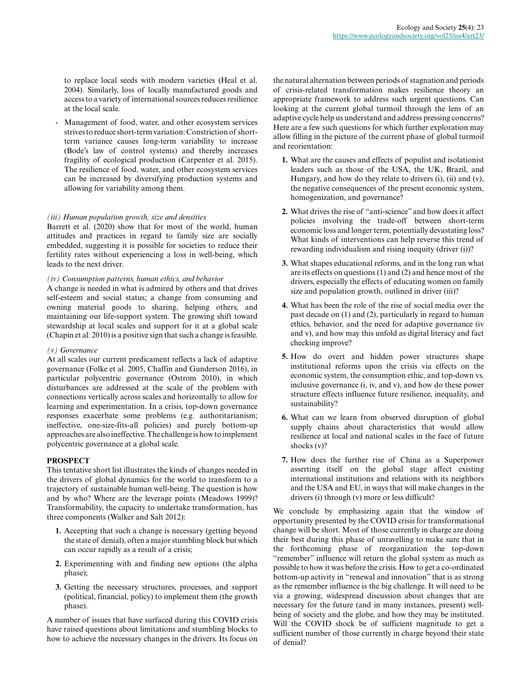to replace local seeds with modern varieties (Heal et al. 2004). Similarly, loss of locally manufactured goods and access to a variety of international sources reduces resilience at the local scale.

**.** Management of food, water, and other ecosystem services strives to reduce short-term variation: Constriction of shortterm variance causes long-term variability to increase (Bode's law of control systems) and thereby increases fragility of ecological production (Carpenter et al. 2015). The resilience of food, water, and other ecosystem services can be increased by diversifying production systems and allowing for variability among them.

### *(iii) Human population growth, size and densities*

Barrett et al. (2020) show that for most of the world, human attitudes and practices in regard to family size are socially embedded, suggesting it is possible for societies to reduce their fertility rates without experiencing a loss in well-being, which leads to the next driver.

*(iv) Consumption patterns, human ethics, and behavior*

A change is needed in what is admired by others and that drives self-esteem and social status; a change from consuming and owning material goods to sharing, helping others, and maintaining our life-support system. The growing shift toward stewardship at local scales and support for it at a global scale (Chapin et al. 2010) is a positive sign that such a change is feasible.

#### *(v) Governance*

At all scales our current predicament reflects a lack of adaptive governance (Folke et al. 2005, Chaffin and Gunderson 2016), in particular polycentric governance (Ostrom 2010), in which disturbances are addressed at the scale of the problem with connections vertically across scales and horizontally to allow for learning and experimentation. In a crisis, top-down governance responses exacerbate some problems (e.g. authoritarianism; ineffective, one-size-fits-all policies) and purely bottom-up approaches are also ineffective. The challenge is how to implement polycentric governance at a global scale.

# **PROSPECT**

This tentative short list illustrates the kinds of changes needed in the drivers of global dynamics for the world to transform to a trajectory of sustainable human well-being. The question is how and by who? Where are the leverage points (Meadows 1999)? Transformability, the capacity to undertake transformation, has three components (Walker and Salt 2012):

- **1.** Accepting that such a change is necessary (getting beyond the state of denial), often a major stumbling block but which can occur rapidly as a result of a crisis;
- **2.** Experimenting with and finding new options (the alpha phase);
- **3.** Getting the necessary structures, processes, and support (political, financial, policy) to implement them (the growth phase).

A number of issues that have surfaced during this COVID crisis have raised questions about limitations and stumbling blocks to how to achieve the necessary changes in the drivers. Its focus on

the natural alternation between periods of stagnation and periods of crisis-related transformation makes resilience theory an appropriate framework to address such urgent questions. Can looking at the current global turmoil through the lens of an adaptive cycle help us understand and address pressing concerns? Here are a few such questions for which further exploration may allow filling in the picture of the current phase of global turmoil and reorientation:

- **1.** What are the causes and effects of populist and isolationist leaders such as those of the USA, the UK, Brazil, and Hungary, and how do they relate to drivers (i), (ii) and (v), the negative consequences of the present economic system, homogenization, and governance?
- **2.** What drives the rise of "anti-science" and how does it affect policies involving the trade-off between short-term economic loss and longer term, potentially devastating loss? What kinds of interventions can help reverse this trend of rewarding individualism and rising inequity (driver (i))?
- **3.** What shapes educational reforms, and in the long run what are its effects on questions (1) and (2) and hence most of the drivers, especially the effects of educating women on family size and population growth, outlined in driver (iii)?
- **4.** What has been the role of the rise of social media over the past decade on (1) and (2), particularly in regard to human ethics, behavior, and the need for adaptive governance (iv and v), and how may this unfold as digital literacy and fact checking improve?
- **5.** How do overt and hidden power structures shape institutional reforms upon the crisis via effects on the economic system, the consumption ethic, and top-down vs. inclusive governance (i, iv, and v), and how do these power structure effects influence future resilience, inequality, and sustainability?
- **6.** What can we learn from observed disruption of global supply chains about characteristics that would allow resilience at local and national scales in the face of future shocks (v)?
- **7.** How does the further rise of China as a Superpower asserting itself on the global stage affect existing international institutions and relations with its neighbors and the USA and EU, in ways that will make changes in the drivers (i) through (v) more or less difficult?

We conclude by emphasizing again that the window of opportunity presented by the COVID crisis for transformational change will be short. Most of those currently in charge are doing their best during this phase of unravelling to make sure that in the forthcoming phase of reorganization the top-down "remember" influence will return the global system as much as possible to how it was before the crisis. How to get a co-ordinated bottom-up activity in "renewal and innovation" that is as strong as the remember influence is the big challenge. It will need to be via a growing, widespread discussion about changes that are necessary for the future (and in many instances, present) wellbeing of society and the globe, and how they may be instituted. Will the COVID shock be of sufficient magnitude to get a sufficient number of those currently in charge beyond their state of denial?